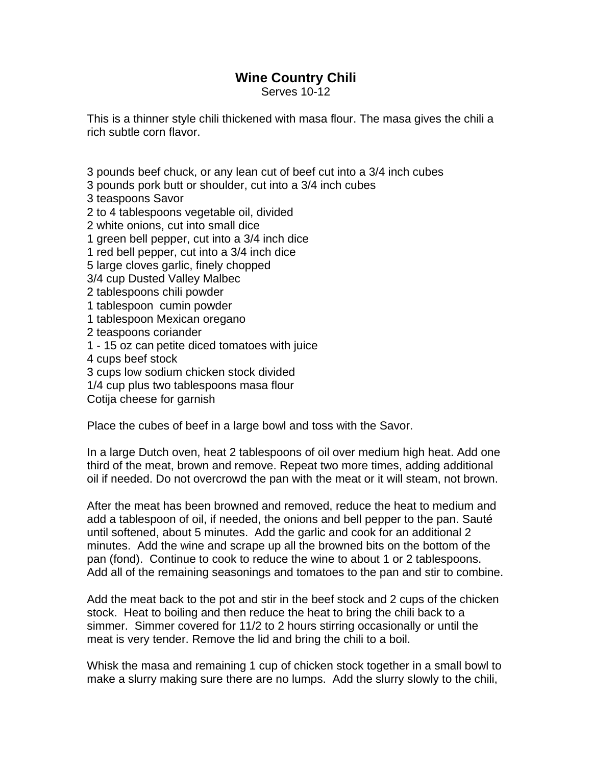## **Wine Country Chili**

Serves 10-12

This is a thinner style chili thickened with masa flour. The masa gives the chili a rich subtle corn flavor.

3 pounds beef chuck, or any lean cut of beef cut into a 3/4 inch cubes

3 pounds pork butt or shoulder, cut into a 3/4 inch cubes

3 teaspoons Savor

2 to 4 tablespoons vegetable oil, divided

2 white onions, cut into small dice

1 green bell pepper, cut into a 3/4 inch dice

1 red bell pepper, cut into a 3/4 inch dice

5 large cloves garlic, finely chopped

3/4 cup Dusted Valley Malbec

2 tablespoons chili powder

1 tablespoon cumin powder

1 tablespoon Mexican oregano

2 teaspoons coriander

1 - 15 oz can petite diced tomatoes with juice

4 cups beef stock

3 cups low sodium chicken stock divided

1/4 cup plus two tablespoons masa flour

Cotija cheese for garnish

Place the cubes of beef in a large bowl and toss with the Savor.

In a large Dutch oven, heat 2 tablespoons of oil over medium high heat. Add one third of the meat, brown and remove. Repeat two more times, adding additional oil if needed. Do not overcrowd the pan with the meat or it will steam, not brown.

After the meat has been browned and removed, reduce the heat to medium and add a tablespoon of oil, if needed, the onions and bell pepper to the pan. Sauté until softened, about 5 minutes. Add the garlic and cook for an additional 2 minutes. Add the wine and scrape up all the browned bits on the bottom of the pan (fond). Continue to cook to reduce the wine to about 1 or 2 tablespoons. Add all of the remaining seasonings and tomatoes to the pan and stir to combine.

Add the meat back to the pot and stir in the beef stock and 2 cups of the chicken stock. Heat to boiling and then reduce the heat to bring the chili back to a simmer. Simmer covered for 11/2 to 2 hours stirring occasionally or until the meat is very tender. Remove the lid and bring the chili to a boil.

Whisk the masa and remaining 1 cup of chicken stock together in a small bowl to make a slurry making sure there are no lumps. Add the slurry slowly to the chili,